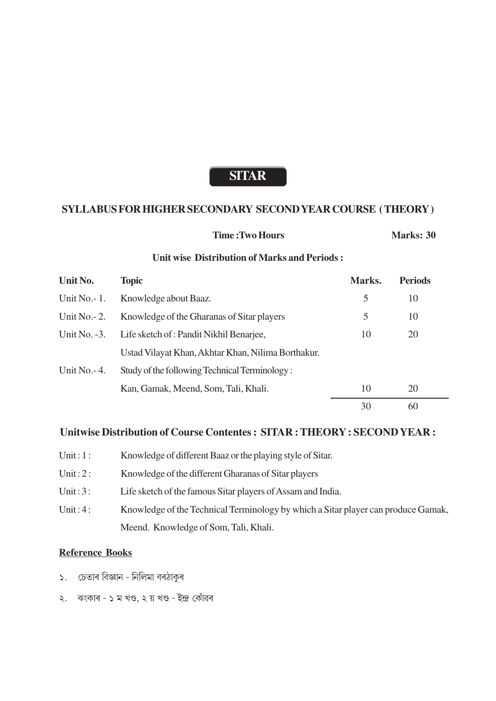# **SITAR**

### **SYLLABUS FOR HIGHER SECONDARY SECOND YEAR COURSE (THEORY)**

| <b>Time: Two Hours</b> | Marks: 30 |
|------------------------|-----------|
|                        |           |

### **Unit wise Distribution of Marks and Periods:**

| Unit No.        | <b>Topic</b>                                       | Marks. | <b>Periods</b> |  |
|-----------------|----------------------------------------------------|--------|----------------|--|
| Unit No. $-1$ . | Knowledge about Baaz.                              | 5      | 10             |  |
| Unit No. $-2$ . | Knowledge of the Gharanas of Sitar players         | 5      | 10             |  |
| Unit No. $-3$ . | Life sketch of : Pandit Nikhil Benarjee,           | 10     | 20             |  |
|                 | Ustad Vilayat Khan, Akhtar Khan, Nilima Borthakur. |        |                |  |
| Unit No. $-4$ . | Study of the following Technical Terminology:      |        |                |  |
|                 | Kan, Gamak, Meend, Som, Tali, Khali.               | 10     | 20             |  |
|                 |                                                    | 30     | 60             |  |

## Unitwise Distribution of Course Contentes: SITAR: THEORY: SECOND YEAR:

- Unit:  $1:$ Knowledge of different Baaz or the playing style of Sitar.
- Unit:  $2:$ Knowledge of the different Gharanas of Sitar players
- Unit:  $3:$ Life sketch of the famous Sitar players of Assam and India.
- Unit:  $4:$ Knowledge of the Technical Terminology by which a Sitar player can produce Gamak, Meend. Knowledge of Som, Tali, Khali.

## **Reference Books**

- ১. চেতাৰ বিজ্ঞান নিলিমা বৰঠাকুৰ
- ২. ঝংকাৰ ১ ম খণ্ড, ২ য় খণ্ড ইন্দ্ৰ কোঁৱৰ